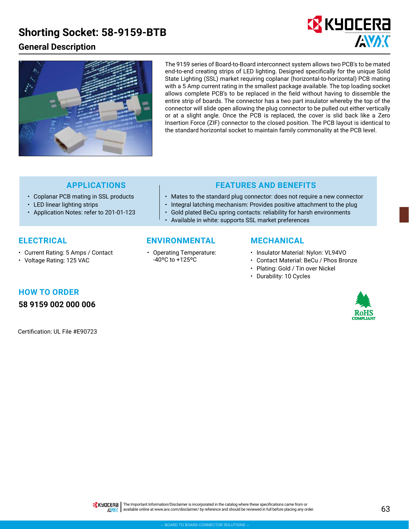## **Shorting Socket: 58-9159-BTB**

## **General Description**





The 9159 series of Board-to-Board interconnect system allows two PCB's to be mated end-to-end creating strips of LED lighting. Designed specifically for the unique Solid State Lighting (SSL) market requiring coplanar (horizontal-to-horizontal) PCB mating with a 5 Amp current rating in the smallest package available. The top loading socket allows complete PCB's to be replaced in the field without having to dissemble the entire strip of boards. The connector has a two part insulator whereby the top of the connector will slide open allowing the plug connector to be pulled out either vertically or at a slight angle. Once the PCB is replaced, the cover is slid back like a Zero Insertion Force (ZIF) connector to the closed position. The PCB layout is identical to the standard horizontal socket to maintain family commonality at the PCB level.

- Coplanar PCB mating in SSL products
- LED linear lighting strips
- Application Notes: refer to 201-01-123

## **APPLICATIONS FEATURES AND BENEFITS**

- Mates to the standard plug connector: does not require a new connector
- Integral latching mechanism: Provides positive attachment to the plug
- Gold plated BeCu spring contacts: reliability for harsh environments • Available in white: supports SSL market preferences

### **ELECTRICAL**

- Current Rating: 5 Amps / Contact
- Voltage Rating: 125 VAC

### **ENVIRONMENTAL MECHANICAL**

• Operating Temperature: -40ºC to +125ºC

- Insulator Material: Nylon: VL94VO
- Contact Material: BeCu / Phos Bronze
- Plating: Gold / Tin over Nickel
- Durability: 10 Cycles

# **HOW TO ORDER**

**58 9159 002 000 006**

Certification: UL File #E90723